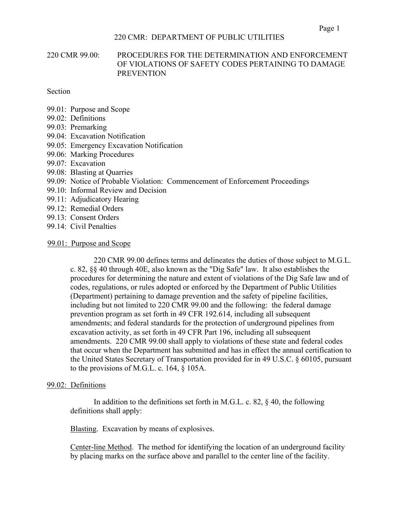# 220 CMR 99.00: PROCEDURES FOR THE DETERMINATION AND ENFORCEMENT OF VIOLATIONS OF SAFETY CODES PERTAINING TO DAMAGE **PREVENTION**

Section

- 99.01: Purpose and Scope
- 99.02: Definitions
- 99.03: Premarking
- 99.04: Excavation Notification
- 99.05: Emergency Excavation Notification
- 99.06: Marking Procedures
- 99.07: Excavation
- 99.08: Blasting at Quarries
- 99.09: Notice of Probable Violation: Commencement of Enforcement Proceedings
- 99.10: Informal Review and Decision
- 99.11: Adjudicatory Hearing
- 99.12: Remedial Orders
- 99.13: Consent Orders
- 99.14: Civil Penalties

#### 99.01: Purpose and Scope

220 CMR 99.00 defines terms and delineates the duties of those subject to M.G.L. c. 82, §§ 40 through 40E, also known as the "Dig Safe" law. It also establishes the procedures for determining the nature and extent of violations of the Dig Safe law and of codes, regulations, or rules adopted or enforced by the Department of Public Utilities (Department) pertaining to damage prevention and the safety of pipeline facilities, including but not limited to 220 CMR 99.00 and the following: the federal damage prevention program as set forth in 49 CFR 192.614, including all subsequent amendments; and federal standards for the protection of underground pipelines from excavation activity, as set forth in 49 CFR Part 196, including all subsequent amendments. 220 CMR 99.00 shall apply to violations of these state and federal codes that occur when the Department has submitted and has in effect the annual certification to the United States Secretary of Transportation provided for in 49 U.S.C. § 60105, pursuant to the provisions of M.G.L. c. 164, § 105A.

#### 99.02: Definitions

In addition to the definitions set forth in M.G.L. c. 82,  $\S$  40, the following definitions shall apply:

Blasting. Excavation by means of explosives.

Center-line Method. The method for identifying the location of an underground facility by placing marks on the surface above and parallel to the center line of the facility.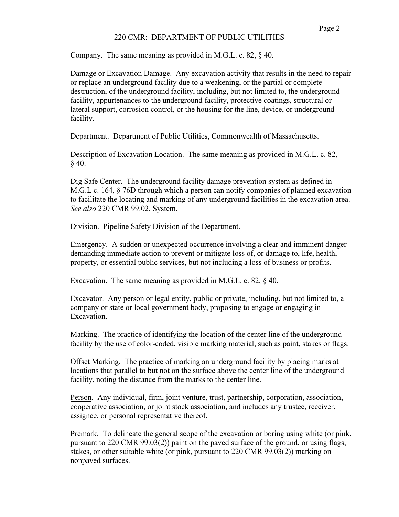Company. The same meaning as provided in M.G.L. c. 82, § 40.

Damage or Excavation Damage. Any excavation activity that results in the need to repair or replace an underground facility due to a weakening, or the partial or complete destruction, of the underground facility, including, but not limited to, the underground facility, appurtenances to the underground facility, protective coatings, structural or lateral support, corrosion control, or the housing for the line, device, or underground facility.

Department. Department of Public Utilities, Commonwealth of Massachusetts.

Description of Excavation Location. The same meaning as provided in M.G.L. c. 82, § 40.

Dig Safe Center. The underground facility damage prevention system as defined in M.G.L c. 164, § 76D through which a person can notify companies of planned excavation to facilitate the locating and marking of any underground facilities in the excavation area. *See also* 220 CMR 99.02, System.

Division. Pipeline Safety Division of the Department.

Emergency. A sudden or unexpected occurrence involving a clear and imminent danger demanding immediate action to prevent or mitigate loss of, or damage to, life, health, property, or essential public services, but not including a loss of business or profits.

Excavation. The same meaning as provided in M.G.L. c. 82, § 40.

Excavator. Any person or legal entity, public or private, including, but not limited to, a company or state or local government body, proposing to engage or engaging in Excavation.

Marking. The practice of identifying the location of the center line of the underground facility by the use of color-coded, visible marking material, such as paint, stakes or flags.

Offset Marking. The practice of marking an underground facility by placing marks at locations that parallel to but not on the surface above the center line of the underground facility, noting the distance from the marks to the center line.

Person. Any individual, firm, joint venture, trust, partnership, corporation, association, cooperative association, or joint stock association, and includes any trustee, receiver, assignee, or personal representative thereof.

Premark. To delineate the general scope of the excavation or boring using white (or pink, pursuant to 220 CMR 99.03(2)) paint on the paved surface of the ground, or using flags, stakes, or other suitable white (or pink, pursuant to 220 CMR 99.03(2)) marking on nonpaved surfaces.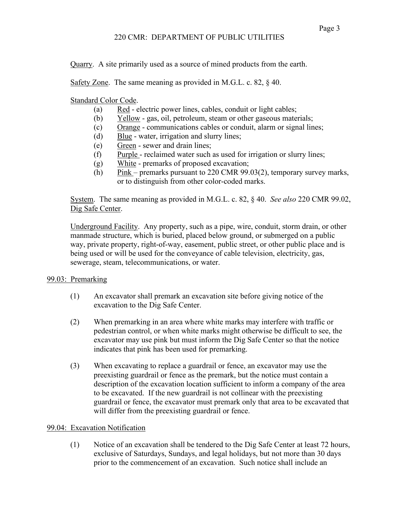Quarry. A site primarily used as a source of mined products from the earth.

Safety Zone. The same meaning as provided in M.G.L. c. 82, § 40.

Standard Color Code.

- (a) Red electric power lines, cables, conduit or light cables;
- (b) Yellow gas, oil, petroleum, steam or other gaseous materials;
- (c) Orange communications cables or conduit, alarm or signal lines;
- (d) Blue water, irrigation and slurry lines;
- (e) Green sewer and drain lines;
- (f) Purple reclaimed water such as used for irrigation or slurry lines;
- (g) White premarks of proposed excavation;
- (h) Pink premarks pursuant to 220 CMR 99.03(2), temporary survey marks, or to distinguish from other color-coded marks.

System. The same meaning as provided in M.G.L. c. 82, § 40. *See also* 220 CMR 99.02, Dig Safe Center.

Underground Facility. Any property, such as a pipe, wire, conduit, storm drain, or other manmade structure, which is buried, placed below ground, or submerged on a public way, private property, right-of-way, easement, public street, or other public place and is being used or will be used for the conveyance of cable television, electricity, gas, sewerage, steam, telecommunications, or water.

# 99.03: Premarking

- (1) An excavator shall premark an excavation site before giving notice of the excavation to the Dig Safe Center.
- (2) When premarking in an area where white marks may interfere with traffic or pedestrian control, or when white marks might otherwise be difficult to see, the excavator may use pink but must inform the Dig Safe Center so that the notice indicates that pink has been used for premarking.
- (3) When excavating to replace a guardrail or fence, an excavator may use the preexisting guardrail or fence as the premark, but the notice must contain a description of the excavation location sufficient to inform a company of the area to be excavated. If the new guardrail is not collinear with the preexisting guardrail or fence, the excavator must premark only that area to be excavated that will differ from the preexisting guardrail or fence.

# 99.04: Excavation Notification

(1) Notice of an excavation shall be tendered to the Dig Safe Center at least 72 hours, exclusive of Saturdays, Sundays, and legal holidays, but not more than 30 days prior to the commencement of an excavation. Such notice shall include an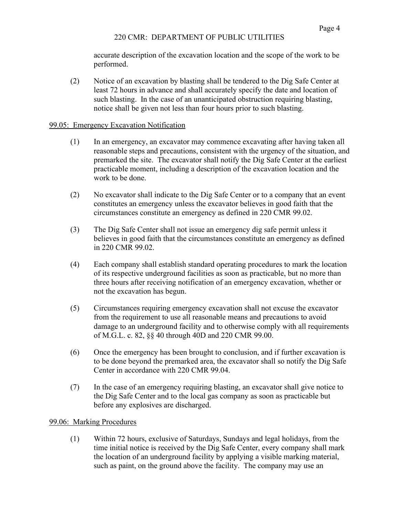accurate description of the excavation location and the scope of the work to be performed.

(2) Notice of an excavation by blasting shall be tendered to the Dig Safe Center at least 72 hours in advance and shall accurately specify the date and location of such blasting. In the case of an unanticipated obstruction requiring blasting, notice shall be given not less than four hours prior to such blasting.

# 99.05: Emergency Excavation Notification

- (1) In an emergency, an excavator may commence excavating after having taken all reasonable steps and precautions, consistent with the urgency of the situation, and premarked the site. The excavator shall notify the Dig Safe Center at the earliest practicable moment, including a description of the excavation location and the work to be done.
- (2) No excavator shall indicate to the Dig Safe Center or to a company that an event constitutes an emergency unless the excavator believes in good faith that the circumstances constitute an emergency as defined in 220 CMR 99.02.
- (3) The Dig Safe Center shall not issue an emergency dig safe permit unless it believes in good faith that the circumstances constitute an emergency as defined in 220 CMR 99.02.
- (4) Each company shall establish standard operating procedures to mark the location of its respective underground facilities as soon as practicable, but no more than three hours after receiving notification of an emergency excavation, whether or not the excavation has begun.
- (5) Circumstances requiring emergency excavation shall not excuse the excavator from the requirement to use all reasonable means and precautions to avoid damage to an underground facility and to otherwise comply with all requirements of M.G.L. c. 82, §§ 40 through 40D and 220 CMR 99.00.
- (6) Once the emergency has been brought to conclusion, and if further excavation is to be done beyond the premarked area, the excavator shall so notify the Dig Safe Center in accordance with 220 CMR 99.04.
- (7) In the case of an emergency requiring blasting, an excavator shall give notice to the Dig Safe Center and to the local gas company as soon as practicable but before any explosives are discharged.

# 99.06: Marking Procedures

(1) Within 72 hours, exclusive of Saturdays, Sundays and legal holidays, from the time initial notice is received by the Dig Safe Center, every company shall mark the location of an underground facility by applying a visible marking material, such as paint, on the ground above the facility. The company may use an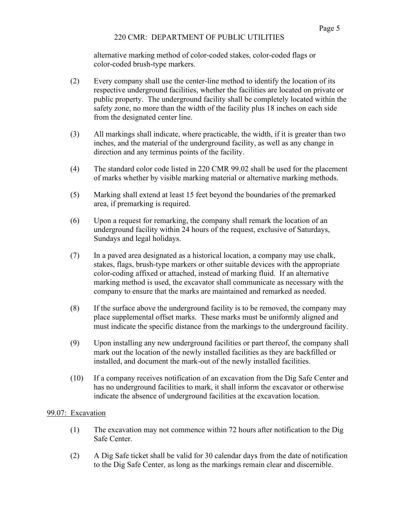alternative marking method of color-coded stakes, color-coded flags or color-coded brush-type markers.

- (2) Every company shall use the center-line method to identify the location of its respective underground facilities, whether the facilities are located on private or public property. The underground facility shall be completely located within the safety zone, no more than the width of the facility plus 18 inches on each side from the designated center line.
- (3) All markings shall indicate, where practicable, the width, if it is greater than two inches, and the material of the underground facility, as well as any change in direction and any terminus points of the facility.
- (4) The standard color code listed in 220 CMR 99.02 shall be used for the placement of marks whether by visible marking material or alternative marking methods.
- (5) Marking shall extend at least 15 feet beyond the boundaries of the premarked area, if premarking is required.
- (6) Upon a request for remarking, the company shall remark the location of an underground facility within 24 hours of the request, exclusive of Saturdays, Sundays and legal holidays.
- (7) In a paved area designated as a historical location, a company may use chalk, stakes, flags, brush-type markers or other suitable devices with the appropriate color-coding affixed or attached, instead of marking fluid. If an alternative marking method is used, the excavator shall communicate as necessary with the company to ensure that the marks are maintained and remarked as needed.
- (8) If the surface above the underground facility is to be removed, the company may place supplemental offset marks. These marks must be uniformly aligned and must indicate the specific distance from the markings to the underground facility.
- (9) Upon installing any new underground facilities or part thereof, the company shall mark out the location of the newly installed facilities as they are backfilled or installed, and document the mark-out of the newly installed facilities.
- (10) If a company receives notification of an excavation from the Dig Safe Center and has no underground facilities to mark, it shall inform the excavator or otherwise indicate the absence of underground facilities at the excavation location.

# 99.07: Excavation

- (1) The excavation may not commence within 72 hours after notification to the Dig Safe Center.
- (2) A Dig Safe ticket shall be valid for 30 calendar days from the date of notification to the Dig Safe Center, as long as the markings remain clear and discernible.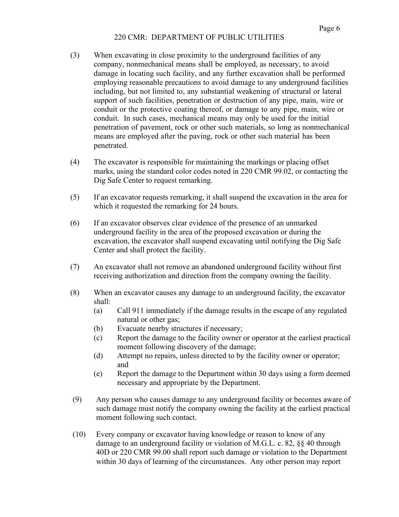- (3) When excavating in close proximity to the underground facilities of any company, nonmechanical means shall be employed, as necessary, to avoid damage in locating such facility, and any further excavation shall be performed employing reasonable precautions to avoid damage to any underground facilities including, but not limited to, any substantial weakening of structural or lateral support of such facilities, penetration or destruction of any pipe, main, wire or conduit or the protective coating thereof, or damage to any pipe, main, wire or conduit. In such cases, mechanical means may only be used for the initial penetration of pavement, rock or other such materials, so long as nonmechanical means are employed after the paving, rock or other such material has been penetrated.
- (4) The excavator is responsible for maintaining the markings or placing offset marks, using the standard color codes noted in 220 CMR 99.02, or contacting the Dig Safe Center to request remarking.
- (5) If an excavator requests remarking, it shall suspend the excavation in the area for which it requested the remarking for 24 hours.
- (6) If an excavator observes clear evidence of the presence of an unmarked underground facility in the area of the proposed excavation or during the excavation, the excavator shall suspend excavating until notifying the Dig Safe Center and shall protect the facility.
- (7) An excavator shall not remove an abandoned underground facility without first receiving authorization and direction from the company owning the facility.
- (8) When an excavator causes any damage to an underground facility, the excavator shall:
	- (a) Call 911 immediately if the damage results in the escape of any regulated natural or other gas;
	- (b) Evacuate nearby structures if necessary;
	- (c) Report the damage to the facility owner or operator at the earliest practical moment following discovery of the damage;
	- (d) Attempt no repairs, unless directed to by the facility owner or operator; and
	- (e) Report the damage to the Department within 30 days using a form deemed necessary and appropriate by the Department.
- (9) Any person who causes damage to any underground facility or becomes aware of such damage must notify the company owning the facility at the earliest practical moment following such contact.
- (10) Every company or excavator having knowledge or reason to know of any damage to an underground facility or violation of M.G.L. c. 82, §§ 40 through 40D or 220 CMR 99.00 shall report such damage or violation to the Department within 30 days of learning of the circumstances. Any other person may report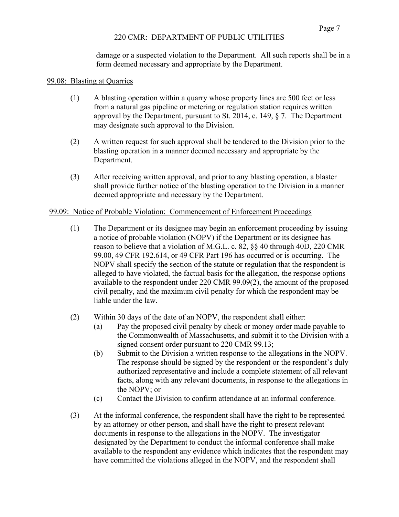damage or a suspected violation to the Department. All such reports shall be in a form deemed necessary and appropriate by the Department.

#### 99.08: Blasting at Quarries

- (1) A blasting operation within a quarry whose property lines are 500 feet or less from a natural gas pipeline or metering or regulation station requires written approval by the Department, pursuant to St. 2014, c. 149,  $\S$  7. The Department may designate such approval to the Division.
- (2) A written request for such approval shall be tendered to the Division prior to the blasting operation in a manner deemed necessary and appropriate by the Department.
- (3) After receiving written approval, and prior to any blasting operation, a blaster shall provide further notice of the blasting operation to the Division in a manner deemed appropriate and necessary by the Department.

### 99.09: Notice of Probable Violation: Commencement of Enforcement Proceedings

- (1) The Department or its designee may begin an enforcement proceeding by issuing a notice of probable violation (NOPV) if the Department or its designee has reason to believe that a violation of M.G.L. c. 82, §§ 40 through 40D, 220 CMR 99.00, 49 CFR 192.614, or 49 CFR Part 196 has occurred or is occurring. The NOPV shall specify the section of the statute or regulation that the respondent is alleged to have violated, the factual basis for the allegation, the response options available to the respondent under 220 CMR 99.09(2), the amount of the proposed civil penalty, and the maximum civil penalty for which the respondent may be liable under the law.
- (2) Within 30 days of the date of an NOPV, the respondent shall either:
	- (a) Pay the proposed civil penalty by check or money order made payable to the Commonwealth of Massachusetts, and submit it to the Division with a signed consent order pursuant to 220 CMR 99.13;
	- (b) Submit to the Division a written response to the allegations in the NOPV. The response should be signed by the respondent or the respondent's duly authorized representative and include a complete statement of all relevant facts, along with any relevant documents, in response to the allegations in the NOPV; or
	- (c) Contact the Division to confirm attendance at an informal conference.
- (3) At the informal conference, the respondent shall have the right to be represented by an attorney or other person, and shall have the right to present relevant documents in response to the allegations in the NOPV. The investigator designated by the Department to conduct the informal conference shall make available to the respondent any evidence which indicates that the respondent may have committed the violations alleged in the NOPV, and the respondent shall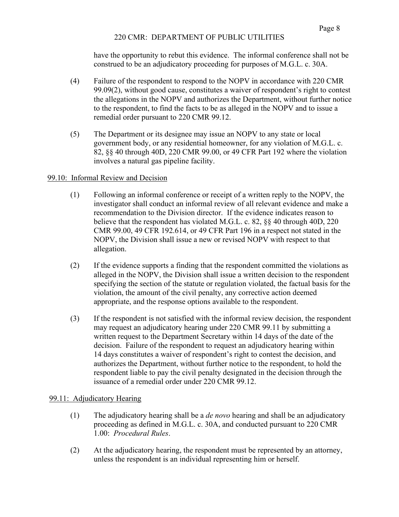have the opportunity to rebut this evidence. The informal conference shall not be construed to be an adjudicatory proceeding for purposes of M.G.L. c. 30A.

- (4) Failure of the respondent to respond to the NOPV in accordance with 220 CMR 99.09(2), without good cause, constitutes a waiver of respondent's right to contest the allegations in the NOPV and authorizes the Department, without further notice to the respondent, to find the facts to be as alleged in the NOPV and to issue a remedial order pursuant to 220 CMR 99.12.
- (5) The Department or its designee may issue an NOPV to any state or local government body, or any residential homeowner, for any violation of M.G.L. c. 82, §§ 40 through 40D, 220 CMR 99.00, or 49 CFR Part 192 where the violation involves a natural gas pipeline facility.

### 99.10: Informal Review and Decision

- (1) Following an informal conference or receipt of a written reply to the NOPV, the investigator shall conduct an informal review of all relevant evidence and make a recommendation to the Division director. If the evidence indicates reason to believe that the respondent has violated M.G.L. c. 82, §§ 40 through 40D, 220 CMR 99.00, 49 CFR 192.614, or 49 CFR Part 196 in a respect not stated in the NOPV, the Division shall issue a new or revised NOPV with respect to that allegation.
- (2) If the evidence supports a finding that the respondent committed the violations as alleged in the NOPV, the Division shall issue a written decision to the respondent specifying the section of the statute or regulation violated, the factual basis for the violation, the amount of the civil penalty, any corrective action deemed appropriate, and the response options available to the respondent.
- (3) If the respondent is not satisfied with the informal review decision, the respondent may request an adjudicatory hearing under 220 CMR 99.11 by submitting a written request to the Department Secretary within 14 days of the date of the decision. Failure of the respondent to request an adjudicatory hearing within 14 days constitutes a waiver of respondent's right to contest the decision, and authorizes the Department, without further notice to the respondent, to hold the respondent liable to pay the civil penalty designated in the decision through the issuance of a remedial order under 220 CMR 99.12.

# 99.11: Adjudicatory Hearing

- (1) The adjudicatory hearing shall be a *de novo* hearing and shall be an adjudicatory proceeding as defined in M.G.L. c. 30A, and conducted pursuant to 220 CMR 1.00: *Procedural Rules*.
- (2) At the adjudicatory hearing, the respondent must be represented by an attorney, unless the respondent is an individual representing him or herself.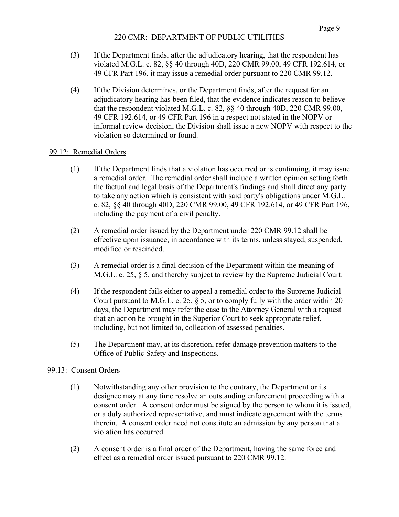- (3) If the Department finds, after the adjudicatory hearing, that the respondent has violated M.G.L. c. 82, §§ 40 through 40D, 220 CMR 99.00, 49 CFR 192.614, or 49 CFR Part 196, it may issue a remedial order pursuant to 220 CMR 99.12.
- (4) If the Division determines, or the Department finds, after the request for an adjudicatory hearing has been filed, that the evidence indicates reason to believe that the respondent violated M.G.L. c. 82, §§ 40 through 40D, 220 CMR 99.00, 49 CFR 192.614, or 49 CFR Part 196 in a respect not stated in the NOPV or informal review decision, the Division shall issue a new NOPV with respect to the violation so determined or found.

# 99.12: Remedial Orders

- (1) If the Department finds that a violation has occurred or is continuing, it may issue a remedial order. The remedial order shall include a written opinion setting forth the factual and legal basis of the Department's findings and shall direct any party to take any action which is consistent with said party's obligations under M.G.L. c. 82, §§ 40 through 40D, 220 CMR 99.00, 49 CFR 192.614, or 49 CFR Part 196, including the payment of a civil penalty.
- (2) A remedial order issued by the Department under 220 CMR 99.12 shall be effective upon issuance, in accordance with its terms, unless stayed, suspended, modified or rescinded.
- (3) A remedial order is a final decision of the Department within the meaning of M.G.L. c. 25, § 5, and thereby subject to review by the Supreme Judicial Court.
- (4) If the respondent fails either to appeal a remedial order to the Supreme Judicial Court pursuant to M.G.L. c. 25,  $\S$  5, or to comply fully with the order within 20 days, the Department may refer the case to the Attorney General with a request that an action be brought in the Superior Court to seek appropriate relief, including, but not limited to, collection of assessed penalties.
- (5) The Department may, at its discretion, refer damage prevention matters to the Office of Public Safety and Inspections.

# 99.13: Consent Orders

- (1) Notwithstanding any other provision to the contrary, the Department or its designee may at any time resolve an outstanding enforcement proceeding with a consent order. A consent order must be signed by the person to whom it is issued, or a duly authorized representative, and must indicate agreement with the terms therein. A consent order need not constitute an admission by any person that a violation has occurred.
- (2) A consent order is a final order of the Department, having the same force and effect as a remedial order issued pursuant to 220 CMR 99.12.